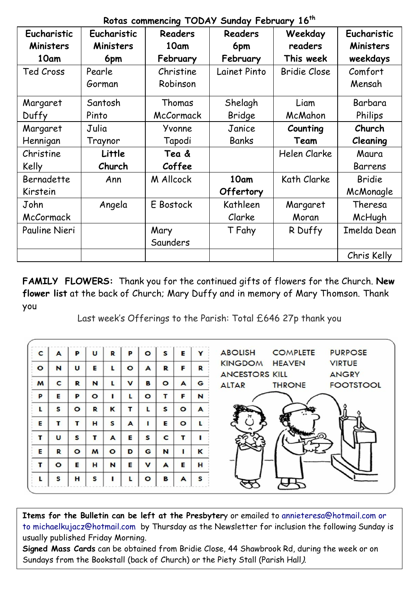| Eucharistic   | Eucharistic      | <b>Readers</b> | <b>Readers</b> | Weekday             | Eucharistic |
|---------------|------------------|----------------|----------------|---------------------|-------------|
| Ministers     | <b>Ministers</b> | 10am           | 6pm            | readers             | Ministers   |
| 10am          | 6pm              | February       | February       | This week           | weekdays    |
| Ted Cross     | Pearle           | Christine      | Lainet Pinto   | <b>Bridie Close</b> | Comfort     |
|               | Gorman           | Robinson       |                |                     | Mensah      |
| Margaret      | Santosh          | Thomas         | Shelagh        | Liam                | Barbara     |
| Duffy         | Pinto            | McCormack      | Bridge         | McMahon             | Philips     |
| Margaret      | Julia            | Yvonne         | Janice         | Counting            | Church      |
| Hennigan      | Traynor          | Tapodi         | Banks          | Team                | Cleaning    |
| Christine     | Little           | Tea &          |                | Helen Clarke        | Maura       |
| Kelly         | Church           | Coffee         |                |                     | Barrens     |
| Bernadette    | Ann              | M Allcock      | 10am           | Kath Clarke         | Bridie      |
| Kirstein      |                  |                | Offertory      |                     | McMonagle   |
| John          | Angela           | E Bostock      | Kathleen       | Margaret            | Theresa     |
| McCormack     |                  |                | Clarke         | Moran               | McHugh      |
| Pauline Nieri |                  | Mary           | T Fahy         | R Duffy             | Imelda Dean |
|               |                  | Saunders       |                |                     |             |
|               |                  |                |                |                     | Chris Kelly |

**Rotas commencing TODAY Sunday February 16th**

**FAMILY FLOWERS:** Thank you for the continued gifts of flowers for the Church. **New flower list** at the back of Church; Mary Duffy and in memory of Mary Thomson. Thank you

Last week's Offerings to the Parish: Total £646 27p thank you

| C         | A       | P         | u       | R       | P           | $\circ$ | S       | E       | Y | <b>ABOLISH</b>                          | <b>COMPLETE</b> | <b>PURPOSE</b>                |
|-----------|---------|-----------|---------|---------|-------------|---------|---------|---------|---|-----------------------------------------|-----------------|-------------------------------|
| $\bullet$ | N       | U         | Е       | L       | $\circ$     | A       | R       | F       | R | <b>KINGDOM</b><br><b>ANCESTORS KILL</b> | <b>HEAVEN</b>   | <b>VIRTUE</b><br><b>ANGRY</b> |
| M         | C       | R         | N       | L       | $\mathbf v$ | B       | $\circ$ | A       | G | <b>ALTAR</b>                            | <b>THRONE</b>   | <b>FOOTSTOOL</b>              |
| P         | Е       | P         | $\circ$ |         | L           | $\circ$ | т       | F       | N |                                         |                 |                               |
| L         | S       | $\bullet$ | R       | K       | т           | L       | s       | $\circ$ | A |                                         |                 |                               |
| Е         | т       | т         | н       | S       | A           |         | E       | $\circ$ |   |                                         |                 |                               |
| т         | U       | S         | т       | A       | Е           | S       | C       | т       |   |                                         |                 |                               |
| E         | R       | $\circ$   | M       | $\circ$ | D           | G       | N       |         | κ |                                         |                 |                               |
| т         | $\circ$ | E         | н       | N       | Е           | v       | A       | E       | н |                                         |                 |                               |
|           | s       | н         | S       |         |             | $\circ$ | В       | A       | s |                                         |                 |                               |

**Items for the Bulletin can be left at the Presbyter**y or emailed to [annieteresa@hotmail.com or](mailto:annieteresa@hotmail.com%20or%20to%20michaelkujacz@hotmail.com%20%20b)  [to michaelkujacz@hotmail.com by](mailto:annieteresa@hotmail.com%20or%20to%20michaelkujacz@hotmail.com%20%20b) Thursday as the Newsletter for inclusion the following Sunday is usually published Friday Morning.

**Signed Mass Cards** can be obtained from Bridie Close, 44 Shawbrook Rd, during the week or on Sundays from the Bookstall (back of Church) or the Piety Stall (Parish Hall).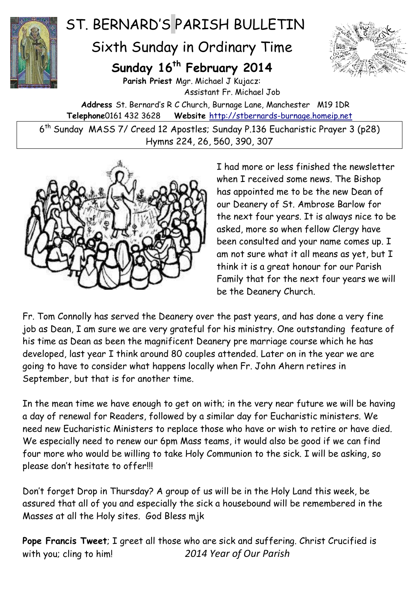

## ST. BERNARD'S PARISH BULLETIN

Sixth Sunday in Ordinary Time

## **Sunday 16th February 2014**



**Parish Priest** Mgr. Michael J Kujacz: Assistant Fr. Michael Job **Address** St. Bernard's R C Church, Burnage Lane, Manchester M19 1DR **Telephone**0161 432 3628 **Website** [http://stbernards-burnage.homeip.net](http://stbernards-burnage.homeip.net/)

6 th Sunday MASS 7/ Creed 12 Apostles; Sunday P.136 Eucharistic Prayer 3 (p28) Hymns 224, 26, 560, 390, 307



I had more or less finished the newsletter when I received some news. The Bishop has appointed me to be the new Dean of our Deanery of St. Ambrose Barlow for the next four years. It is always nice to be asked, more so when fellow Clergy have been consulted and your name comes up. I am not sure what it all means as yet, but I think it is a great honour for our Parish Family that for the next four years we will be the Deanery Church.

Fr. Tom Connolly has served the Deanery over the past years, and has done a very fine job as Dean, I am sure we are very grateful for his ministry. One outstanding feature of his time as Dean as been the magnificent Deanery pre marriage course which he has developed, last year I think around 80 couples attended. Later on in the year we are going to have to consider what happens locally when Fr. John Ahern retires in September, but that is for another time.

In the mean time we have enough to get on with; in the very near future we will be having a day of renewal for Readers, followed by a similar day for Eucharistic ministers. We need new Eucharistic Ministers to replace those who have or wish to retire or have died. We especially need to renew our 6pm Mass teams, it would also be good if we can find four more who would be willing to take Holy Communion to the sick. I will be asking, so please don't hesitate to offer!!!

Don't forget Drop in Thursday? A group of us will be in the Holy Land this week, be assured that all of you and especially the sick a housebound will be remembered in the Masses at all the Holy sites. God Bless mjk

**Pope Francis Tweet**; I greet all those who are sick and suffering. Christ Crucified is with you; cling to him! *2014 Year of Our Parish*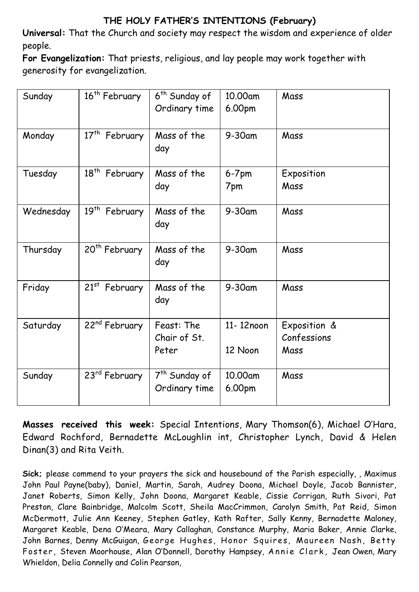## **THE HOLY FATHER'S INTENTIONS (February)**

**Universal:** That the Church and society may respect the wisdom and experience of older people.

**For Evangelization:** That priests, religious, and lay people may work together with generosity for evangelization.

| Sunday    | 16 <sup>th</sup> February | 6 <sup>th</sup> Sunday of                  | 10.00am              | Mass                                |
|-----------|---------------------------|--------------------------------------------|----------------------|-------------------------------------|
|           |                           | Ordinary time                              | 6.00pm               |                                     |
| Monday    | 17 <sup>th</sup> February | Mass of the<br>day                         | $9-30$ am            | Mass                                |
| Tuesday   | $18^{th}$<br>February     | Mass of the<br>day                         | $6-7$ pm<br>7pm      | Exposition<br>Mass                  |
| Wednesday | 19 <sup>th</sup> February | Mass of the<br>day                         | $9-30$ am            | Mass                                |
| Thursday  | 20 <sup>th</sup> February | Mass of the<br>day                         | $9-30$ am            | Mass                                |
| Friday    | 21st February             | Mass of the<br>day                         | $9-30$ am            | Mass                                |
| Saturday  | 22 <sup>nd</sup> February | Feast: The<br>Chair of St.<br>Peter        | 11-12noon<br>12 Noon | Exposition &<br>Confessions<br>Mass |
| Sunday    | 23rd February             | 7 <sup>th</sup> Sunday of<br>Ordinary time | 10.00am<br>6.00pm    | Mass                                |

**Masses received this week:** Special Intentions, Mary Thomson(6), Michael O'Hara, Edward Rochford, Bernadette McLoughlin int, Christopher Lynch, David & Helen Dinan(3) and Rita Veith.

**Sick;** please commend to your prayers the sick and housebound of the Parish especially, , Maximus John Paul Payne(baby), Daniel, Martin, Sarah, Audrey Doona, Michael Doyle, Jacob Bannister, Janet Roberts, Simon Kelly, John Doona, Margaret Keable, Cissie Corrigan, Ruth Sivori, Pat Preston, Clare Bainbridge, Malcolm Scott, Sheila MacCrimmon, Carolyn Smith, Pat Reid, Simon McDermott, Julie Ann Keeney, Stephen Gatley, Kath Rafter, Sally Kenny, Bernadette Maloney, Margaret Keable, Dena O'Meara, Mary Callaghan, Constance Murphy, Maria Baker, Annie Clarke, John Barnes, Denny McGuigan, George Hughes, Honor Squires, Maureen Nash, Betty Foster, Steven Moorhouse, Alan O'Donnell, Dorothy Hampsey, Annie Clark, Jean Owen, Mary Whieldon, Delia Connelly and Colin Pearson,